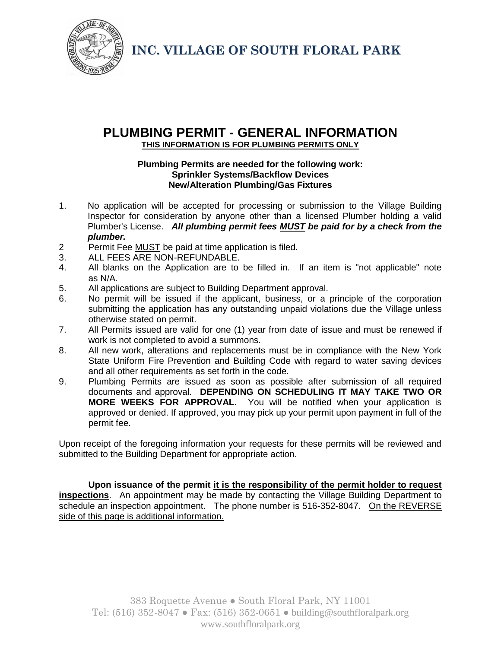

**INC. VILLAGE OF SOUTH FLORAL PARK**

### **PLUMBING PERMIT - GENERAL INFORMATION THIS INFORMATION IS FOR PLUMBING PERMITS ONLY**

#### **Plumbing Permits are needed for the following work: Sprinkler Systems/Backflow Devices New/Alteration Plumbing/Gas Fixtures**

- 1. No application will be accepted for processing or submission to the Village Building Inspector for consideration by anyone other than a licensed Plumber holding a valid Plumber's License. *All plumbing permit fees MUST be paid for by a check from the plumber.*
- 2 Permit Fee MUST be paid at time application is filed.
- 3. ALL FEES ARE NON-REFUNDABLE.
- 4. All blanks on the Application are to be filled in. If an item is "not applicable" note as N/A.
- 5. All applications are subject to Building Department approval.
- 6. No permit will be issued if the applicant, business, or a principle of the corporation submitting the application has any outstanding unpaid violations due the Village unless otherwise stated on permit.
- 7. All Permits issued are valid for one (1) year from date of issue and must be renewed if work is not completed to avoid a summons.
- 8. All new work, alterations and replacements must be in compliance with the New York State Uniform Fire Prevention and Building Code with regard to water saving devices and all other requirements as set forth in the code.
- 9. Plumbing Permits are issued as soon as possible after submission of all required documents and approval. **DEPENDING ON SCHEDULING IT MAY TAKE TWO OR MORE WEEKS FOR APPROVAL.** You will be notified when your application is approved or denied. If approved, you may pick up your permit upon payment in full of the permit fee.

Upon receipt of the foregoing information your requests for these permits will be reviewed and submitted to the Building Department for appropriate action.

**Upon issuance of the permit it is the responsibility of the permit holder to request inspections**. An appointment may be made by contacting the Village Building Department to schedule an inspection appointment. The phone number is 516-352-8047. On the REVERSE side of this page is additional information.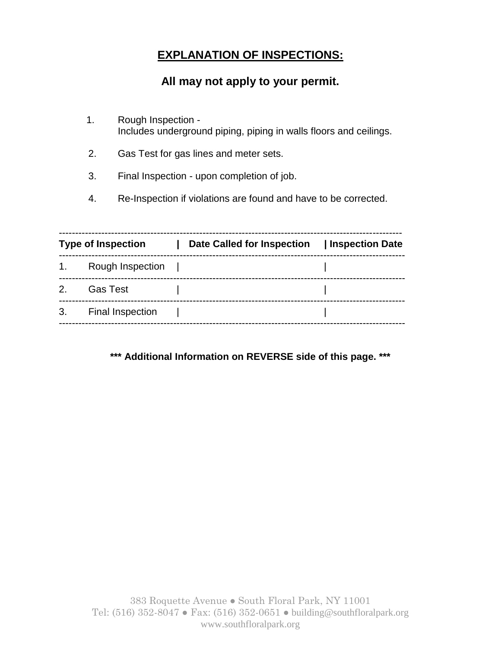# **EXPLANATION OF INSPECTIONS:**

### **All may not apply to your permit.**

- 1. Rough Inspection Includes underground piping, piping in walls floors and ceilings.
- 2. Gas Test for gas lines and meter sets.
- 3. Final Inspection upon completion of job.
- 4. Re-Inspection if violations are found and have to be corrected.

| 1.<br>Rough Inspection<br>2.<br><b>Gas Test</b> | Date Called for Inspection   Inspection Date |
|-------------------------------------------------|----------------------------------------------|
|                                                 |                                              |
|                                                 |                                              |
| 3.<br><b>Final Inspection</b>                   |                                              |

**\*\*\* Additional Information on REVERSE side of this page. \*\*\***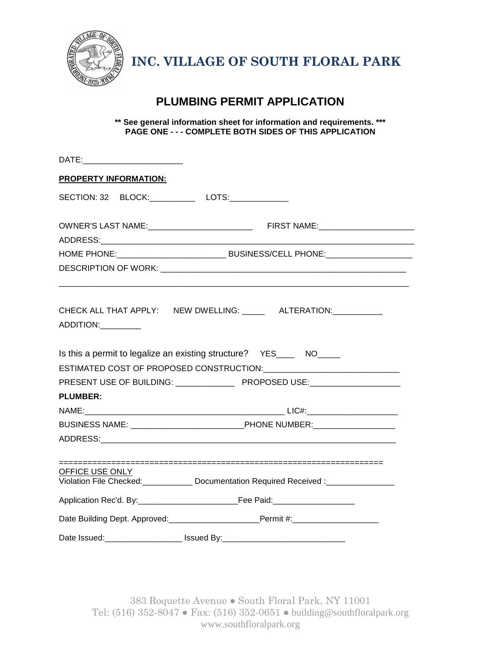

**INC. VILLAGE OF SOUTH FLORAL PARK**

## **PLUMBING PERMIT APPLICATION**

**\*\* See general information sheet for information and requirements. \*\*\* PAGE ONE - - - COMPLETE BOTH SIDES OF THIS APPLICATION** 

| DATE:___________________________                                                              |  |  |  |  |  |  |
|-----------------------------------------------------------------------------------------------|--|--|--|--|--|--|
| <b>PROPERTY INFORMATION:</b>                                                                  |  |  |  |  |  |  |
| SECTION: 32 BLOCK:___________ LOTS:___________                                                |  |  |  |  |  |  |
|                                                                                               |  |  |  |  |  |  |
|                                                                                               |  |  |  |  |  |  |
|                                                                                               |  |  |  |  |  |  |
|                                                                                               |  |  |  |  |  |  |
| CHECK ALL THAT APPLY: NEW DWELLING: ______ ALTERATION:___________                             |  |  |  |  |  |  |
| Is this a permit to legalize an existing structure? YES______ NO_____                         |  |  |  |  |  |  |
|                                                                                               |  |  |  |  |  |  |
|                                                                                               |  |  |  |  |  |  |
| <b>PLUMBER:</b>                                                                               |  |  |  |  |  |  |
|                                                                                               |  |  |  |  |  |  |
| BUSINESS NAME: ___________________________________PHONE NUMBER: ________________              |  |  |  |  |  |  |
|                                                                                               |  |  |  |  |  |  |
|                                                                                               |  |  |  |  |  |  |
| OFFICE USE ONLY<br>Violation File Checked: Documentation Required Received : ________________ |  |  |  |  |  |  |
|                                                                                               |  |  |  |  |  |  |
|                                                                                               |  |  |  |  |  |  |
| Date Issued:_______________________ Issued By:__________________________________              |  |  |  |  |  |  |

383 Roquette Avenue ● South Floral Park, NY 11001 Tel: (516) 352-8047 ● Fax: (516) 352-0651 ● building@southfloralpark.org www.southfloralpark.org